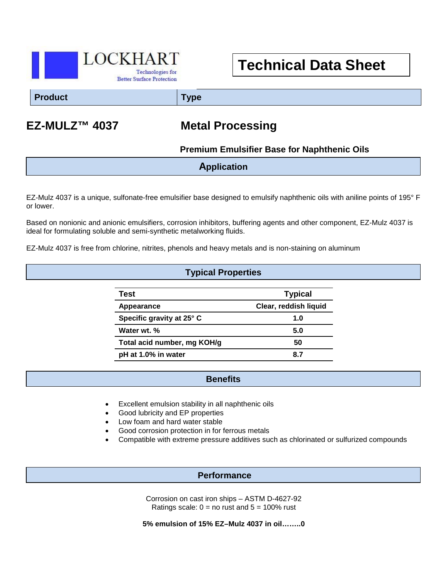

# **Technical Data Sheet**

**Product Type**

## **EZ-MULZ™ 4037 Metal Processing**

 **Premium Emulsifier Base for Naphthenic Oils**

**Application**

EZ-Mulz 4037 is a unique, sulfonate-free emulsifier base designed to emulsify naphthenic oils with aniline points of 195° F or lower.

Based on nonionic and anionic emulsifiers, corrosion inhibitors, buffering agents and other component, EZ-Mulz 4037 is ideal for formulating soluble and semi-synthetic metalworking fluids.

EZ-Mulz 4037 is free from chlorine, nitrites, phenols and heavy metals and is non-staining on aluminum

### **Typical Properties**

| Test                        | <b>Typical</b>        |
|-----------------------------|-----------------------|
| Appearance                  | Clear, reddish liquid |
| Specific gravity at 25° C   | 1.0                   |
| Water wt. %                 | 5.0                   |
| Total acid number, mg KOH/g | 50                    |
| pH at 1.0% in water         | 8.7                   |

#### **Benefits**

- Excellent emulsion stability in all naphthenic oils
- Good lubricity and EP properties
- Low foam and hard water stable
- Good corrosion protection in for ferrous metals
- Compatible with extreme pressure additives such as chlorinated or sulfurized compounds

#### **Performance**

Corrosion on cast iron ships – ASTM D-4627-92 Ratings scale:  $0 =$  no rust and  $5 = 100\%$  rust

**5% emulsion of 15% EZ–Mulz 4037 in oil……..0**